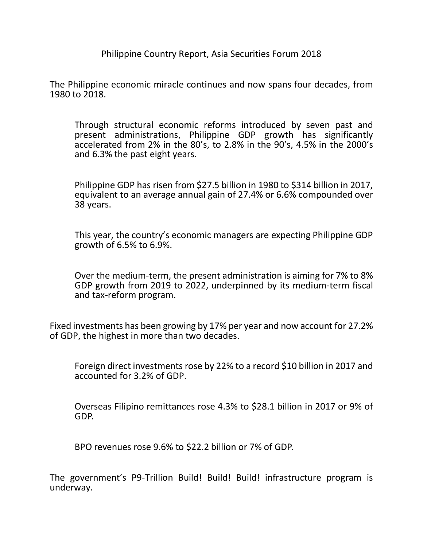Philippine Country Report, Asia Securities Forum 2018

The Philippine economic miracle continues and now spans four decades, from 1980 to 2018.

Through structural economic reforms introduced by seven past and present administrations, Philippine GDP growth has significantly accelerated from 2% in the 80's, to 2.8% in the 90's, 4.5% in the 2000's and 6.3% the past eight years.

Philippine GDP has risen from \$27.5 billion in 1980 to \$314 billion in 2017, equivalent to an average annual gain of 27.4% or 6.6% compounded over 38 years.

This year, the country's economic managers are expecting Philippine GDP growth of 6.5% to 6.9%.

Over the medium-term, the present administration is aiming for 7% to 8% GDP growth from 2019 to 2022, underpinned by its medium-term fiscal and tax-reform program.

Fixed investments has been growing by 17% per year and now account for 27.2% of GDP, the highest in more than two decades.

Foreign direct investments rose by 22% to a record \$10 billion in 2017 and accounted for 3.2% of GDP.

Overseas Filipino remittances rose 4.3% to \$28.1 billion in 2017 or 9% of GDP.

BPO revenues rose 9.6% to \$22.2 billion or 7% of GDP.

The government's P9-Trillion Build! Build! Build! infrastructure program is underway.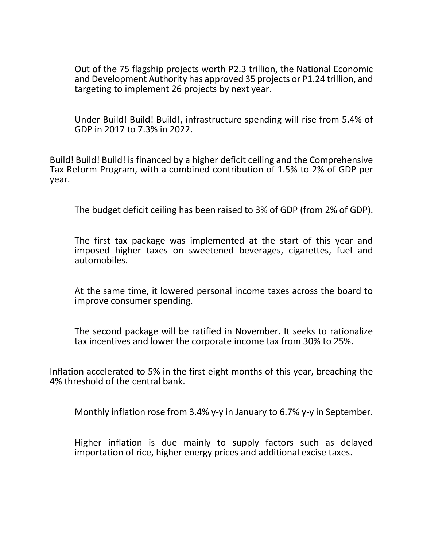Out of the 75 flagship projects worth P2.3 trillion, the National Economic and Development Authority has approved 35 projects or P1.24 trillion, and targeting to implement 26 projects by next year.

Under Build! Build! Build!, infrastructure spending will rise from 5.4% of GDP in 2017 to 7.3% in 2022.

Build! Build! Build! is financed by a higher deficit ceiling and the Comprehensive Tax Reform Program, with a combined contribution of 1.5% to 2% of GDP per year.

The budget deficit ceiling has been raised to 3% of GDP (from 2% of GDP).

The first tax package was implemented at the start of this year and imposed higher taxes on sweetened beverages, cigarettes, fuel and automobiles.

At the same time, it lowered personal income taxes across the board to improve consumer spending.

The second package will be ratified in November. It seeks to rationalize tax incentives and lower the corporate income tax from 30% to 25%.

Inflation accelerated to 5% in the first eight months of this year, breaching the 4% threshold of the central bank.

Monthly inflation rose from 3.4% y-y in January to 6.7% y-y in September.

Higher inflation is due mainly to supply factors such as delayed importation of rice, higher energy prices and additional excise taxes.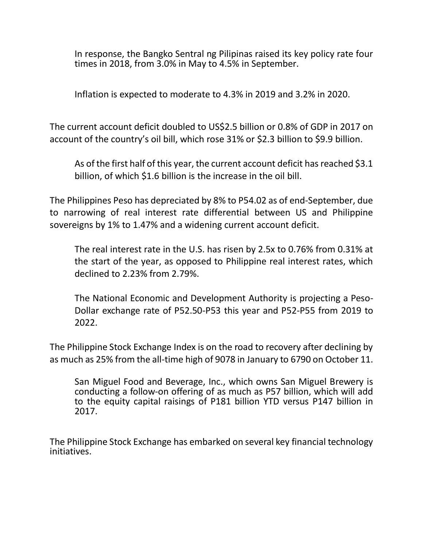In response, the Bangko Sentral ng Pilipinas raised its key policy rate four times in 2018, from 3.0% in May to 4.5% in September.

Inflation is expected to moderate to 4.3% in 2019 and 3.2% in 2020.

The current account deficit doubled to US\$2.5 billion or 0.8% of GDP in 2017 on account of the country's oil bill, which rose 31% or \$2.3 billion to \$9.9 billion.

As of the first half of this year, the current account deficit has reached \$3.1 billion, of which \$1.6 billion is the increase in the oil bill.

The Philippines Peso has depreciated by 8% to P54.02 as of end-September, due to narrowing of real interest rate differential between US and Philippine sovereigns by 1% to 1.47% and a widening current account deficit.

The real interest rate in the U.S. has risen by 2.5x to 0.76% from 0.31% at the start of the year, as opposed to Philippine real interest rates, which declined to 2.23% from 2.79%.

The National Economic and Development Authority is projecting a Peso-Dollar exchange rate of P52.50-P53 this year and P52-P55 from 2019 to 2022.

The Philippine Stock Exchange Index is on the road to recovery after declining by as much as 25% from the all-time high of 9078 in January to 6790 on October 11.

San Miguel Food and Beverage, Inc., which owns San Miguel Brewery is conducting a follow-on offering of as much as P57 billion, which will add to the equity capital raisings of P181 billion YTD versus P147 billion in 2017.

The Philippine Stock Exchange has embarked on several key financial technology initiatives.